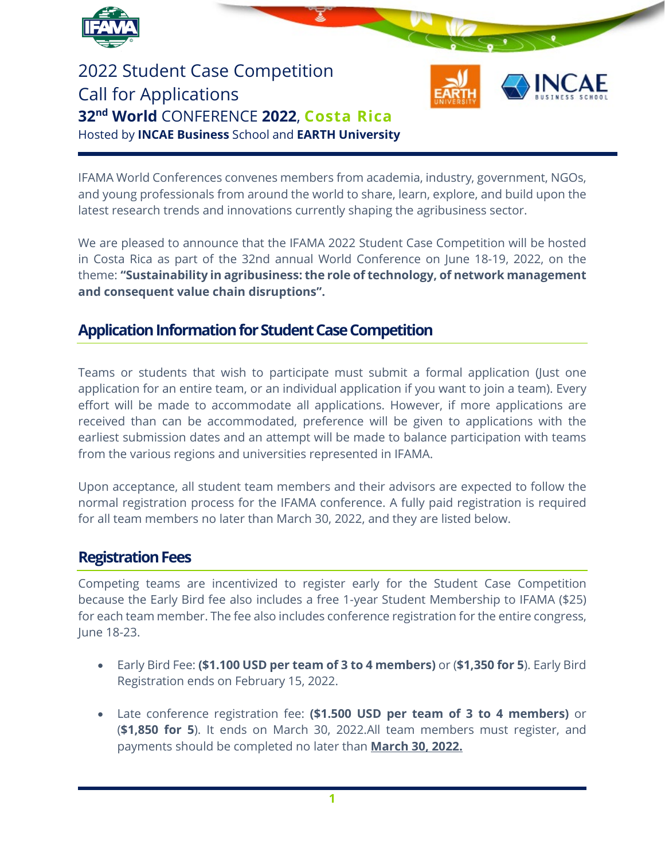

2022 Student Case Competition Call for Applications **32nd World** CONFERENCE **2022**, **Costa Rica** Hosted by **INCAE Business** School and **EARTH University**



IFAMA World Conferences convenes members from academia, industry, government, NGOs, and young professionals from around the world to share, learn, explore, and build upon the latest research trends and innovations currently shaping the agribusiness sector.

We are pleased to announce that the IFAMA 2022 Student Case Competition will be hosted in Costa Rica as part of the 32nd annual World Conference on June 18-19, 2022, on the theme: **"Sustainability in agribusiness: the role of technology, of network management and consequent value chain disruptions".**

## **Application Information for Student Case Competition**

Teams or students that wish to participate must submit a formal application (Just one application for an entire team, or an individual application if you want to join a team). Every effort will be made to accommodate all applications. However, if more applications are received than can be accommodated, preference will be given to applications with the earliest submission dates and an attempt will be made to balance participation with teams from the various regions and universities represented in IFAMA.

Upon acceptance, all student team members and their advisors are expected to follow the normal registration process for the IFAMA conference. A fully paid registration is required for all team members no later than March 30, 2022, and they are listed below.

### **Registration Fees**

Competing teams are incentivized to register early for the Student Case Competition because the Early Bird fee also includes a free 1-year Student Membership to IFAMA (\$25) for each team member. The fee also includes conference registration for the entire congress, June 18-23.

- Early Bird Fee: **(\$1.100 USD per team of 3 to 4 members)** or (**\$1,350 for 5**). Early Bird Registration ends on February 15, 2022.
- Late conference registration fee: **(\$1.500 USD per team of 3 to 4 members)** or (**\$1,850 for 5**). It ends on March 30, 2022.All team members must register, and payments should be completed no later than **March 30, 2022.**